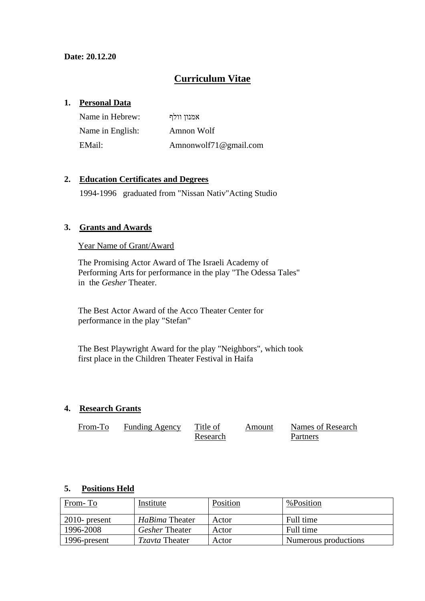# **Curriculum Vitae**

## **1. Personal Data**

| Name in Hebrew:  | אמנון וולף            |
|------------------|-----------------------|
| Name in English: | Amnon Wolf            |
| EMail:           | Amnonwolf71@gmail.com |

# **2. Education Certificates and Degrees**

1994-1996 graduated from "Nissan Nativ"Acting Studio

### **3. Grants and Awards**

#### Year Name of Grant/Award

The Promising Actor Award of The Israeli Academy of Performing Arts for performance in the play "The Odessa Tales" in the *Gesher* Theater.

The Best Actor Award of the Acco Theater Center for performance in the play "Stefan"

The Best Playwright Award for the play "Neighbors", which took first place in the Children Theater Festival in Haifa

#### **4. Research Grants**

| From-To | <b>Funding Agency</b> | Title of | Amount | Names of Research |
|---------|-----------------------|----------|--------|-------------------|
|         |                       | Research |        | Partners          |

#### **5. Positions Held**

| From-To          | Institute             | Position | %Position            |
|------------------|-----------------------|----------|----------------------|
| $2010$ - present | HaBima Theater        | Actor    | Full time            |
| 1996-2008        | <i>Gesher</i> Theater | Actor    | Full time            |
| 1996-present     | <i>Tzavta</i> Theater | Actor    | Numerous productions |